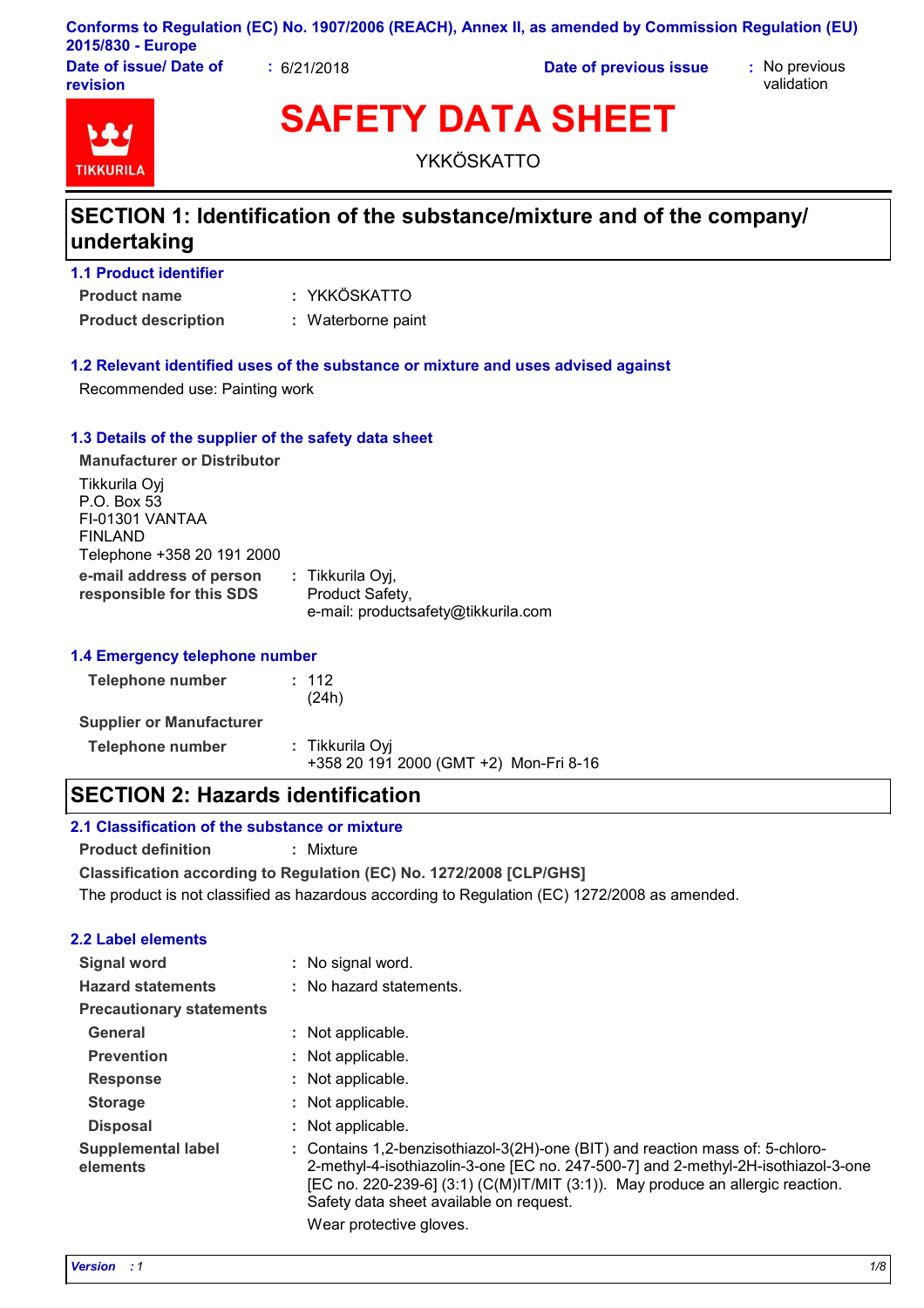|                   | Conforms to Regulation (EC) No. 1907/2006 (REACH), Annex II, as amended by Commission Regulation (EU) |  |
|-------------------|-------------------------------------------------------------------------------------------------------|--|
| 2015/830 - Europe |                                                                                                       |  |

**Date of issue/ Date of revision**

**:** 6/21/2018 **Date of previous issue :** No previous

validation



**SAFETY DATA SHEET**

YKKÖSKATTO

## **SECTION 1: Identification of the substance/mixture and of the company/ undertaking**

| <b>1.1 Product identifier</b> |                    |
|-------------------------------|--------------------|
| <b>Product name</b>           | : YKKÖSKATTO       |
| <b>Product description</b>    | : Waterborne paint |

### **1.2 Relevant identified uses of the substance or mixture and uses advised against**

Recommended use: Painting work

#### **1.3 Details of the supplier of the safety data sheet**

| <b>Manufacturer or Distributor</b>                                                       |                                                                            |  |
|------------------------------------------------------------------------------------------|----------------------------------------------------------------------------|--|
| Tikkurila Oyj<br>P.O. Box 53<br>FI-01301 VANTAA<br>FINLAND<br>Telephone +358 20 191 2000 |                                                                            |  |
| e-mail address of person<br>responsible for this SDS                                     | : Tikkurila Oyj,<br>Product Safety,<br>e-mail: productsafety@tikkurila.com |  |

#### **1.4 Emergency telephone number**

| <b>Telephone number</b>         | : 112<br>(24h)                                            |  |
|---------------------------------|-----------------------------------------------------------|--|
| <b>Supplier or Manufacturer</b> |                                                           |  |
| <b>Telephone number</b>         | : Tikkurila Oyi<br>+358 20 191 2000 (GMT +2) Mon-Fri 8-16 |  |

### **SECTION 2: Hazards identification**

#### **2.1 Classification of the substance or mixture**

**Product definition :** Mixture

**Classification according to Regulation (EC) No. 1272/2008 [CLP/GHS]** The product is not classified as hazardous according to Regulation (EC) 1272/2008 as amended.

#### **2.2 Label elements**

| Signal word                           | : No signal word.                                                                                                                                                                                                                                                                                    |
|---------------------------------------|------------------------------------------------------------------------------------------------------------------------------------------------------------------------------------------------------------------------------------------------------------------------------------------------------|
| <b>Hazard statements</b>              | : No hazard statements.                                                                                                                                                                                                                                                                              |
| <b>Precautionary statements</b>       |                                                                                                                                                                                                                                                                                                      |
| General                               | : Not applicable.                                                                                                                                                                                                                                                                                    |
| <b>Prevention</b>                     | : Not applicable.                                                                                                                                                                                                                                                                                    |
| <b>Response</b>                       | : Not applicable.                                                                                                                                                                                                                                                                                    |
| <b>Storage</b>                        | : Not applicable.                                                                                                                                                                                                                                                                                    |
| <b>Disposal</b>                       | : Not applicable.                                                                                                                                                                                                                                                                                    |
| <b>Supplemental label</b><br>elements | : Contains 1,2-benzisothiazol-3(2H)-one (BIT) and reaction mass of: 5-chloro-<br>2-methyl-4-isothiazolin-3-one [EC no. 247-500-7] and 2-methyl-2H-isothiazol-3-one<br>[EC no. 220-239-6] $(3.1)$ (C(M)IT/MIT $(3.1)$ ). May produce an allergic reaction.<br>Safety data sheet available on request. |

Wear protective gloves.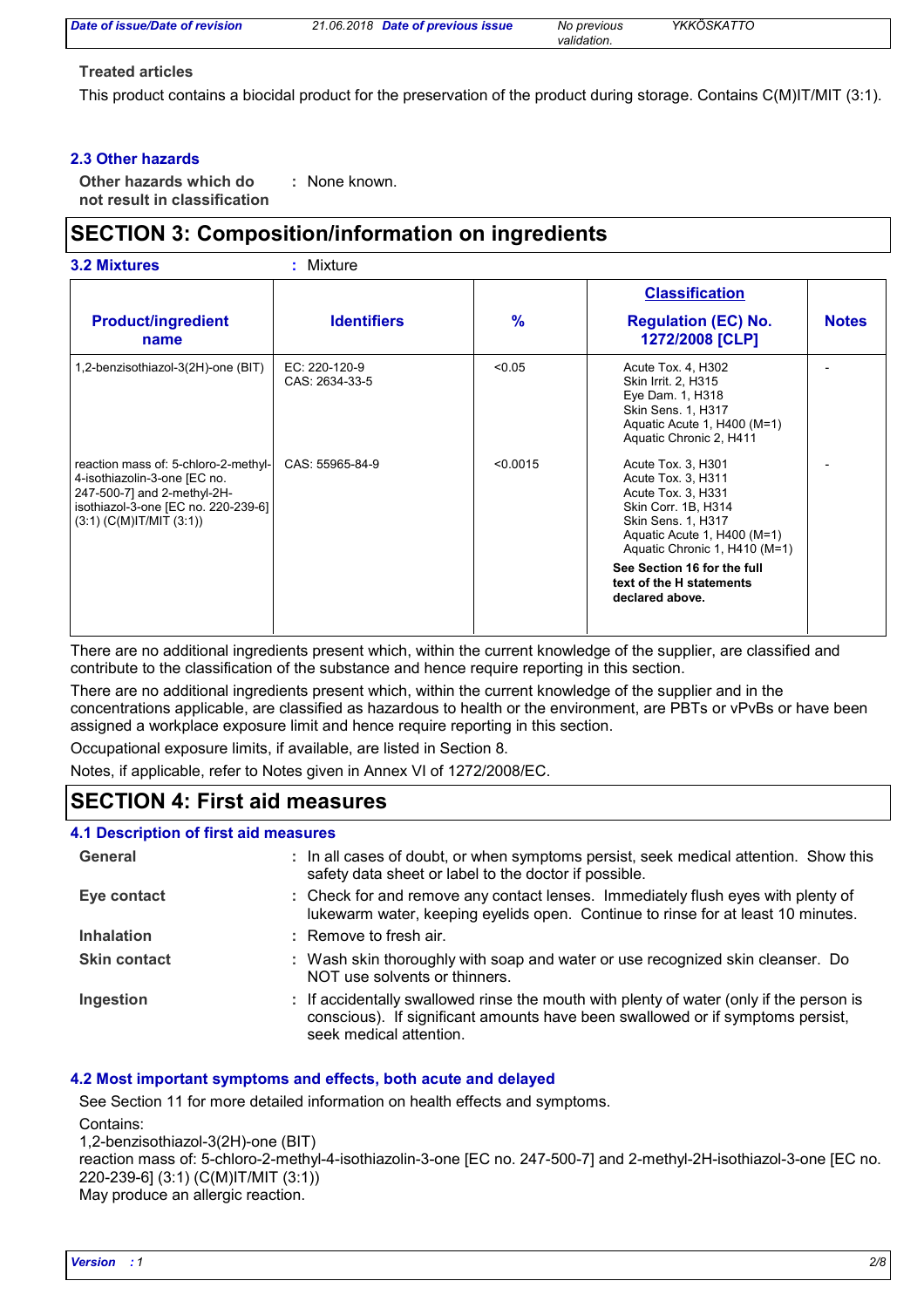| Date of issue/Date of revision | 21.06.2018 Date of previous issue | No previous | YKKÖSKATTO |
|--------------------------------|-----------------------------------|-------------|------------|
|                                |                                   | validation. |            |

#### **Treated articles**

This product contains a biocidal product for the preservation of the product during storage. Contains C(M)IT/MIT (3:1).

#### **2.3 Other hazards**

**Other hazards which do : not result in classification** : None known.

### **SECTION 3: Composition/information on ingredients**

| <b>3.2 Mixtures</b>                                                                                                                                                         | $:$ Mixture                     |          |                                                                                                                                                                             |              |
|-----------------------------------------------------------------------------------------------------------------------------------------------------------------------------|---------------------------------|----------|-----------------------------------------------------------------------------------------------------------------------------------------------------------------------------|--------------|
|                                                                                                                                                                             |                                 |          | <b>Classification</b>                                                                                                                                                       |              |
| <b>Product/ingredient</b><br>name                                                                                                                                           | <b>Identifiers</b>              | %        | <b>Regulation (EC) No.</b><br>1272/2008 [CLP]                                                                                                                               | <b>Notes</b> |
| 1,2-benzisothiazol-3(2H)-one (BIT)                                                                                                                                          | EC: 220-120-9<br>CAS: 2634-33-5 | < 0.05   | Acute Tox. 4, H302<br>Skin Irrit. 2, H315<br>Eye Dam. 1, H318<br>Skin Sens. 1, H317<br>Aquatic Acute 1, H400 (M=1)<br>Aquatic Chronic 2, H411                               |              |
| reaction mass of: 5-chloro-2-methyl-<br>4-isothiazolin-3-one [EC no.<br>247-500-7] and 2-methyl-2H-<br>isothiazol-3-one [EC no. 220-239-6]<br>$(3:1)$ (C(M)IT/MIT $(3:1)$ ) | CAS: 55965-84-9                 | < 0.0015 | Acute Tox. 3, H301<br>Acute Tox. 3, H311<br>Acute Tox. 3, H331<br>Skin Corr. 1B, H314<br>Skin Sens. 1, H317<br>Aquatic Acute 1, H400 (M=1)<br>Aquatic Chronic 1, H410 (M=1) |              |
|                                                                                                                                                                             |                                 |          | See Section 16 for the full<br>text of the H statements<br>declared above.                                                                                                  |              |

There are no additional ingredients present which, within the current knowledge of the supplier, are classified and contribute to the classification of the substance and hence require reporting in this section.

There are no additional ingredients present which, within the current knowledge of the supplier and in the concentrations applicable, are classified as hazardous to health or the environment, are PBTs or vPvBs or have been assigned a workplace exposure limit and hence require reporting in this section.

Occupational exposure limits, if available, are listed in Section 8.

Notes, if applicable, refer to Notes given in Annex VI of 1272/2008/EC.

### **SECTION 4: First aid measures**

#### **4.1 Description of first aid measures**

| General             | : In all cases of doubt, or when symptoms persist, seek medical attention. Show this<br>safety data sheet or label to the doctor if possible.                                                        |
|---------------------|------------------------------------------------------------------------------------------------------------------------------------------------------------------------------------------------------|
| Eye contact         | : Check for and remove any contact lenses. Immediately flush eyes with plenty of<br>lukewarm water, keeping eyelids open. Continue to rinse for at least 10 minutes.                                 |
| <b>Inhalation</b>   | $:$ Remove to fresh air.                                                                                                                                                                             |
| <b>Skin contact</b> | : Wash skin thoroughly with soap and water or use recognized skin cleanser. Do<br>NOT use solvents or thinners.                                                                                      |
| Ingestion           | : If accidentally swallowed rinse the mouth with plenty of water (only if the person is<br>conscious). If significant amounts have been swallowed or if symptoms persist,<br>seek medical attention. |

#### **4.2 Most important symptoms and effects, both acute and delayed**

See Section 11 for more detailed information on health effects and symptoms.

Contains:

1,2-benzisothiazol-3(2H)-one (BIT)

reaction mass of: 5-chloro-2-methyl-4-isothiazolin-3-one [EC no. 247-500-7] and 2-methyl-2H-isothiazol-3-one [EC no. 220-239-6] (3:1) (C(M)IT/MIT (3:1)) May produce an allergic reaction.

*Version : 1 2/8*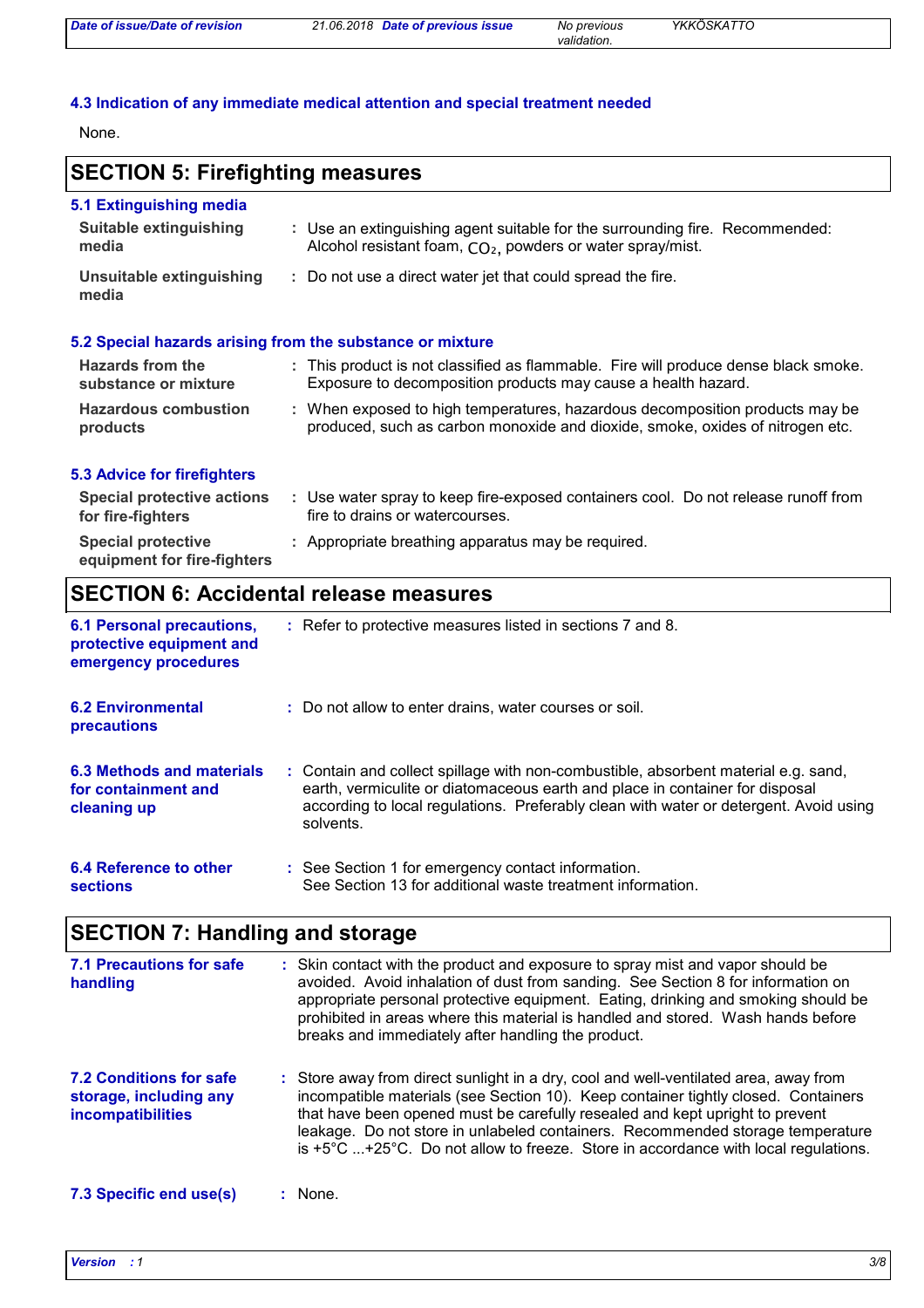| Date of issue/Date of revision | 21.06.2018 Date of previous issue | No previous | YKKÖSKATTO |
|--------------------------------|-----------------------------------|-------------|------------|
|                                |                                   | validation. |            |

### **4.3 Indication of any immediate medical attention and special treatment needed**

None.

## **SECTION 5: Firefighting measures**

| 5.1 Extinguishing media<br>Suitable extinguishing<br>media | : Use an extinguishing agent suitable for the surrounding fire. Recommended:<br>Alcohol resistant foam, CO <sub>2</sub> , powders or water spray/mist.        |
|------------------------------------------------------------|---------------------------------------------------------------------------------------------------------------------------------------------------------------|
| Unsuitable extinguishing<br>media                          | : Do not use a direct water jet that could spread the fire.                                                                                                   |
|                                                            | 5.2 Special hazards arising from the substance or mixture                                                                                                     |
| Hazards from the<br>substance or mixture                   | : This product is not classified as flammable. Fire will produce dense black smoke.<br>Exposure to decomposition products may cause a health hazard.          |
| <b>Hazardous combustion</b><br>products                    | : When exposed to high temperatures, hazardous decomposition products may be<br>produced, such as carbon monoxide and dioxide, smoke, oxides of nitrogen etc. |

#### **5.3 Advice for firefighters**

| Special protective actions<br>for fire-fighters          | Use water spray to keep fire-exposed containers cool. Do not release runoff from<br>fire to drains or watercourses. |
|----------------------------------------------------------|---------------------------------------------------------------------------------------------------------------------|
| <b>Special protective</b><br>equipment for fire-fighters | : Appropriate breathing apparatus may be required.                                                                  |

## **SECTION 6: Accidental release measures**

| <b>6.1 Personal precautions,</b><br>protective equipment and<br>emergency procedures | : Refer to protective measures listed in sections 7 and 8.                                                                                                                                                                                                               |
|--------------------------------------------------------------------------------------|--------------------------------------------------------------------------------------------------------------------------------------------------------------------------------------------------------------------------------------------------------------------------|
| <b>6.2 Environmental</b><br>precautions                                              | : Do not allow to enter drains, water courses or soil.                                                                                                                                                                                                                   |
| 6.3 Methods and materials<br>for containment and<br>cleaning up                      | : Contain and collect spillage with non-combustible, absorbent material e.g. sand,<br>earth, vermiculite or diatomaceous earth and place in container for disposal<br>according to local regulations. Preferably clean with water or detergent. Avoid using<br>solvents. |
| 6.4 Reference to other<br><b>sections</b>                                            | : See Section 1 for emergency contact information.<br>See Section 13 for additional waste treatment information.                                                                                                                                                         |

# **SECTION 7: Handling and storage**

| 7.1 Precautions for safe<br>handling                                          | : Skin contact with the product and exposure to spray mist and vapor should be<br>avoided. Avoid inhalation of dust from sanding. See Section 8 for information on<br>appropriate personal protective equipment. Eating, drinking and smoking should be<br>prohibited in areas where this material is handled and stored. Wash hands before<br>breaks and immediately after handling the product.                                            |
|-------------------------------------------------------------------------------|----------------------------------------------------------------------------------------------------------------------------------------------------------------------------------------------------------------------------------------------------------------------------------------------------------------------------------------------------------------------------------------------------------------------------------------------|
| <b>7.2 Conditions for safe</b><br>storage, including any<br>incompatibilities | : Store away from direct sunlight in a dry, cool and well-ventilated area, away from<br>incompatible materials (see Section 10). Keep container tightly closed. Containers<br>that have been opened must be carefully resealed and kept upright to prevent<br>leakage. Do not store in unlabeled containers. Recommended storage temperature<br>is $+5^{\circ}$ C +25°C. Do not allow to freeze. Store in accordance with local regulations. |
| 7.3 Specific end use(s)                                                       | : None.                                                                                                                                                                                                                                                                                                                                                                                                                                      |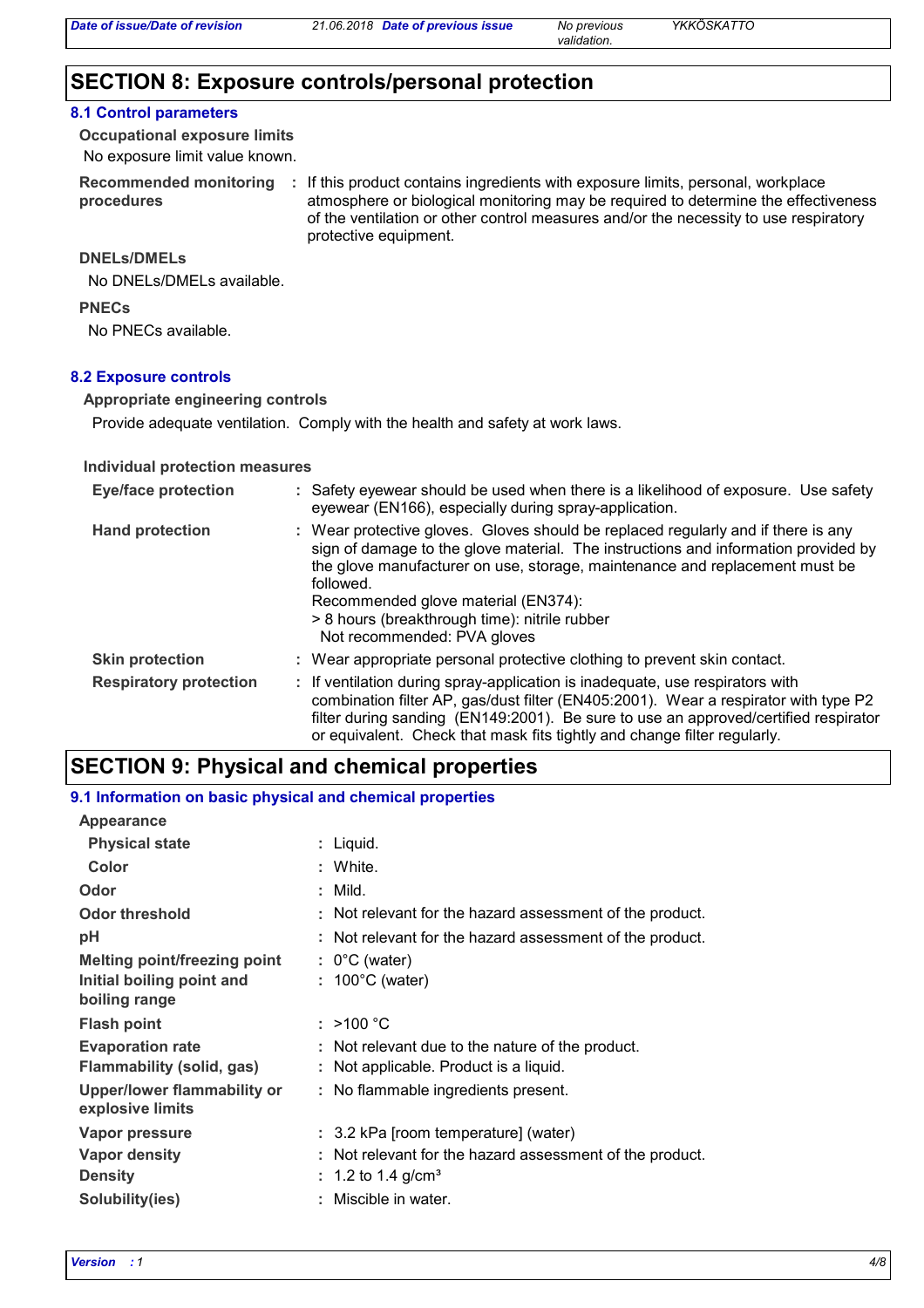*validation.*

### **SECTION 8: Exposure controls/personal protection**

#### **8.1 Control parameters**

No exposure limit value known. **Occupational exposure limits**

Recommended monitoring : If this product contains ingredients with exposure limits, personal, workplace **procedures** atmosphere or biological monitoring may be required to determine the effectiveness of the ventilation or other control measures and/or the necessity to use respiratory protective equipment.

#### **DNELs/DMELs**

No DNELs/DMELs available.

#### **PNECs**

No PNECs available.

#### **8.2 Exposure controls**

#### **Appropriate engineering controls**

Provide adequate ventilation. Comply with the health and safety at work laws.

#### **Individual protection measures**

| <b>Eye/face protection</b>    | : Safety eyewear should be used when there is a likelihood of exposure. Use safety<br>eyewear (EN166), especially during spray-application.                                                                                                                                                                                                                                                |  |
|-------------------------------|--------------------------------------------------------------------------------------------------------------------------------------------------------------------------------------------------------------------------------------------------------------------------------------------------------------------------------------------------------------------------------------------|--|
| <b>Hand protection</b>        | : Wear protective gloves. Gloves should be replaced regularly and if there is any<br>sign of damage to the glove material. The instructions and information provided by<br>the glove manufacturer on use, storage, maintenance and replacement must be<br>followed.<br>Recommended glove material (EN374):<br>> 8 hours (breakthrough time): nitrile rubber<br>Not recommended: PVA gloves |  |
| <b>Skin protection</b>        | : Wear appropriate personal protective clothing to prevent skin contact.                                                                                                                                                                                                                                                                                                                   |  |
| <b>Respiratory protection</b> | : If ventilation during spray-application is inadequate, use respirators with<br>combination filter AP, gas/dust filter (EN405:2001). Wear a respirator with type P2<br>filter during sanding (EN149:2001). Be sure to use an approved/certified respirator<br>or equivalent. Check that mask fits tightly and change filter regularly.                                                    |  |

### **SECTION 9: Physical and chemical properties**

### **9.1 Information on basic physical and chemical properties Appearance**

| $-1$ , and $-$ , and $-$ , and $-$ , and $-$    |                                                          |
|-------------------------------------------------|----------------------------------------------------------|
| <b>Physical state</b>                           | : Liquid.                                                |
| Color                                           | : White.                                                 |
| Odor                                            | $:$ Mild.                                                |
| <b>Odor threshold</b>                           | : Not relevant for the hazard assessment of the product. |
| рH                                              | : Not relevant for the hazard assessment of the product. |
| <b>Melting point/freezing point</b>             | $: 0^{\circ}$ C (water)                                  |
| Initial boiling point and<br>boiling range      | $: 100^{\circ}$ C (water)                                |
| <b>Flash point</b>                              | : >100 °C                                                |
| <b>Evaporation rate</b>                         | : Not relevant due to the nature of the product.         |
| Flammability (solid, gas)                       | : Not applicable. Product is a liquid.                   |
| Upper/lower flammability or<br>explosive limits | : No flammable ingredients present.                      |
| Vapor pressure                                  | : 3.2 kPa [room temperature] (water)                     |
| Vapor density                                   | : Not relevant for the hazard assessment of the product. |
| <b>Density</b>                                  | : 1.2 to 1.4 g/cm <sup>3</sup>                           |
| Solubility(ies)                                 | : Miscible in water.                                     |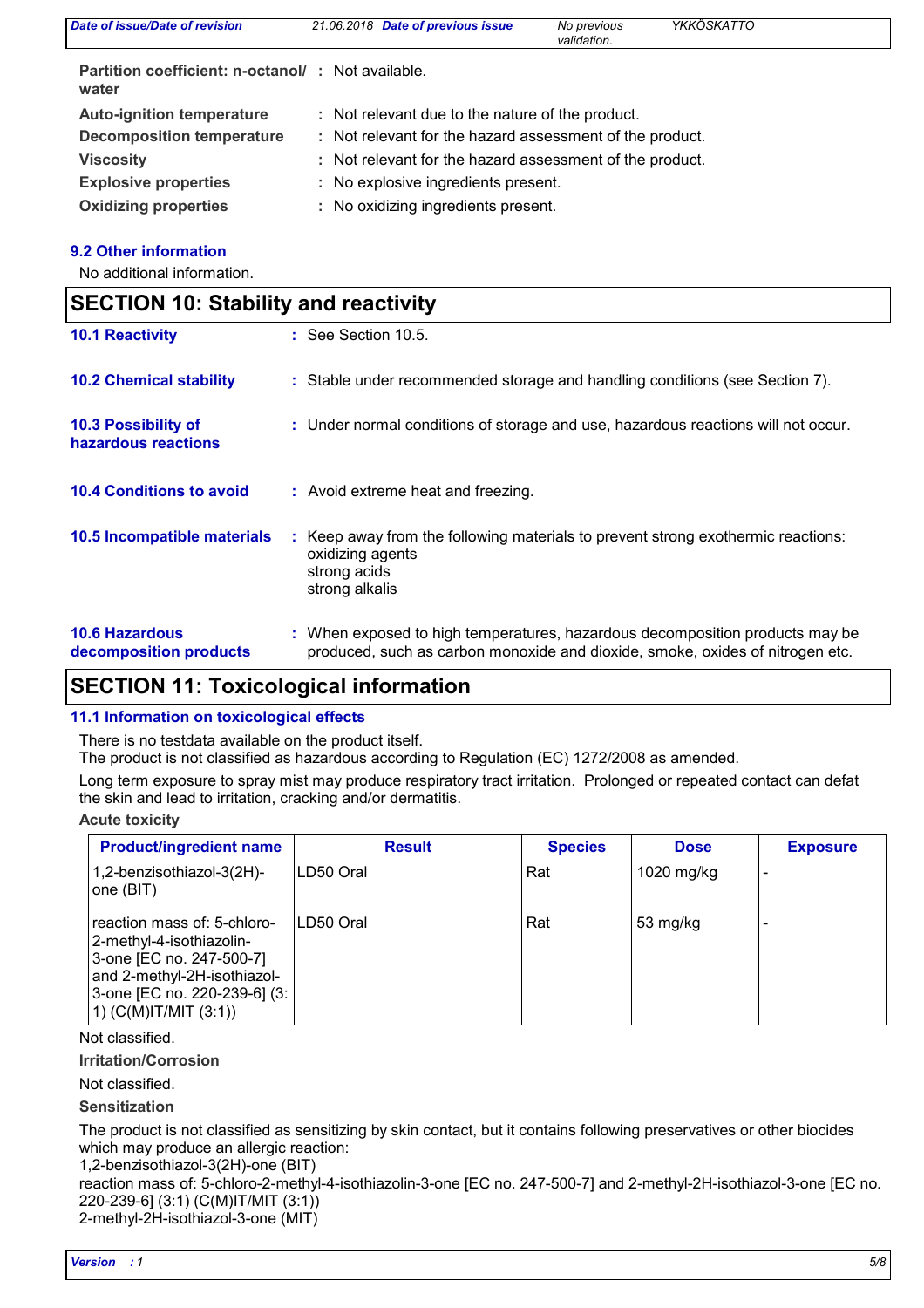| Date of issue/Date of revision                             | 21.06.2018 Date of previous issue                        | No previous<br>validation. | YKKÖSKATTO |  |
|------------------------------------------------------------|----------------------------------------------------------|----------------------------|------------|--|
| Partition coefficient: n-octanol/: Not available.<br>water |                                                          |                            |            |  |
| <b>Auto-ignition temperature</b>                           | : Not relevant due to the nature of the product.         |                            |            |  |
| <b>Decomposition temperature</b>                           | : Not relevant for the hazard assessment of the product. |                            |            |  |
| <b>Viscosity</b>                                           | : Not relevant for the hazard assessment of the product. |                            |            |  |
| <b>Explosive properties</b>                                | : No explosive ingredients present.                      |                            |            |  |
| <b>Oxidizing properties</b>                                | : No oxidizing ingredients present.                      |                            |            |  |

#### **9.2 Other information**

No additional information.

| <b>SECTION 10: Stability and reactivity</b>     |                                                                                                                                                               |
|-------------------------------------------------|---------------------------------------------------------------------------------------------------------------------------------------------------------------|
| <b>10.1 Reactivity</b>                          | $\therefore$ See Section 10.5.                                                                                                                                |
| <b>10.2 Chemical stability</b>                  | : Stable under recommended storage and handling conditions (see Section 7).                                                                                   |
| 10.3 Possibility of<br>hazardous reactions      | : Under normal conditions of storage and use, hazardous reactions will not occur.                                                                             |
| <b>10.4 Conditions to avoid</b>                 | : Avoid extreme heat and freezing.                                                                                                                            |
| 10.5 Incompatible materials                     | : Keep away from the following materials to prevent strong exothermic reactions:<br>oxidizing agents<br>strong acids<br>strong alkalis                        |
| <b>10.6 Hazardous</b><br>decomposition products | : When exposed to high temperatures, hazardous decomposition products may be<br>produced, such as carbon monoxide and dioxide, smoke, oxides of nitrogen etc. |

## **SECTION 11: Toxicological information**

#### **11.1 Information on toxicological effects**

There is no testdata available on the product itself.

The product is not classified as hazardous according to Regulation (EC) 1272/2008 as amended.

Long term exposure to spray mist may produce respiratory tract irritation. Prolonged or repeated contact can defat the skin and lead to irritation, cracking and/or dermatitis.

#### **Acute toxicity**

| <b>Product/ingredient name</b>                                                                                                                                                 | <b>Result</b> | <b>Species</b> | <b>Dose</b> | <b>Exposure</b> |
|--------------------------------------------------------------------------------------------------------------------------------------------------------------------------------|---------------|----------------|-------------|-----------------|
| 1,2-benzisothiazol-3(2H)-<br>one (BIT)                                                                                                                                         | LD50 Oral     | Rat            | 1020 mg/kg  |                 |
| reaction mass of: 5-chloro-<br>2-methyl-4-isothiazolin-<br>3-one [EC no. 247-500-7]<br>and 2-methyl-2H-isothiazol-<br>3-one [EC no. 220-239-6] (3:<br>$(1)$ (C(M)IT/MIT (3:1)) | LD50 Oral     | Rat            | 53 mg/kg    |                 |

Not classified.

**Irritation/Corrosion**

Not classified.

#### **Sensitization**

The product is not classified as sensitizing by skin contact, but it contains following preservatives or other biocides which may produce an allergic reaction:

1,2-benzisothiazol-3(2H)-one (BIT)

reaction mass of: 5-chloro-2-methyl-4-isothiazolin-3-one [EC no. 247-500-7] and 2-methyl-2H-isothiazol-3-one [EC no. 220-239-6] (3:1) (C(M)IT/MIT (3:1))

2-methyl-2H-isothiazol-3-one (MIT)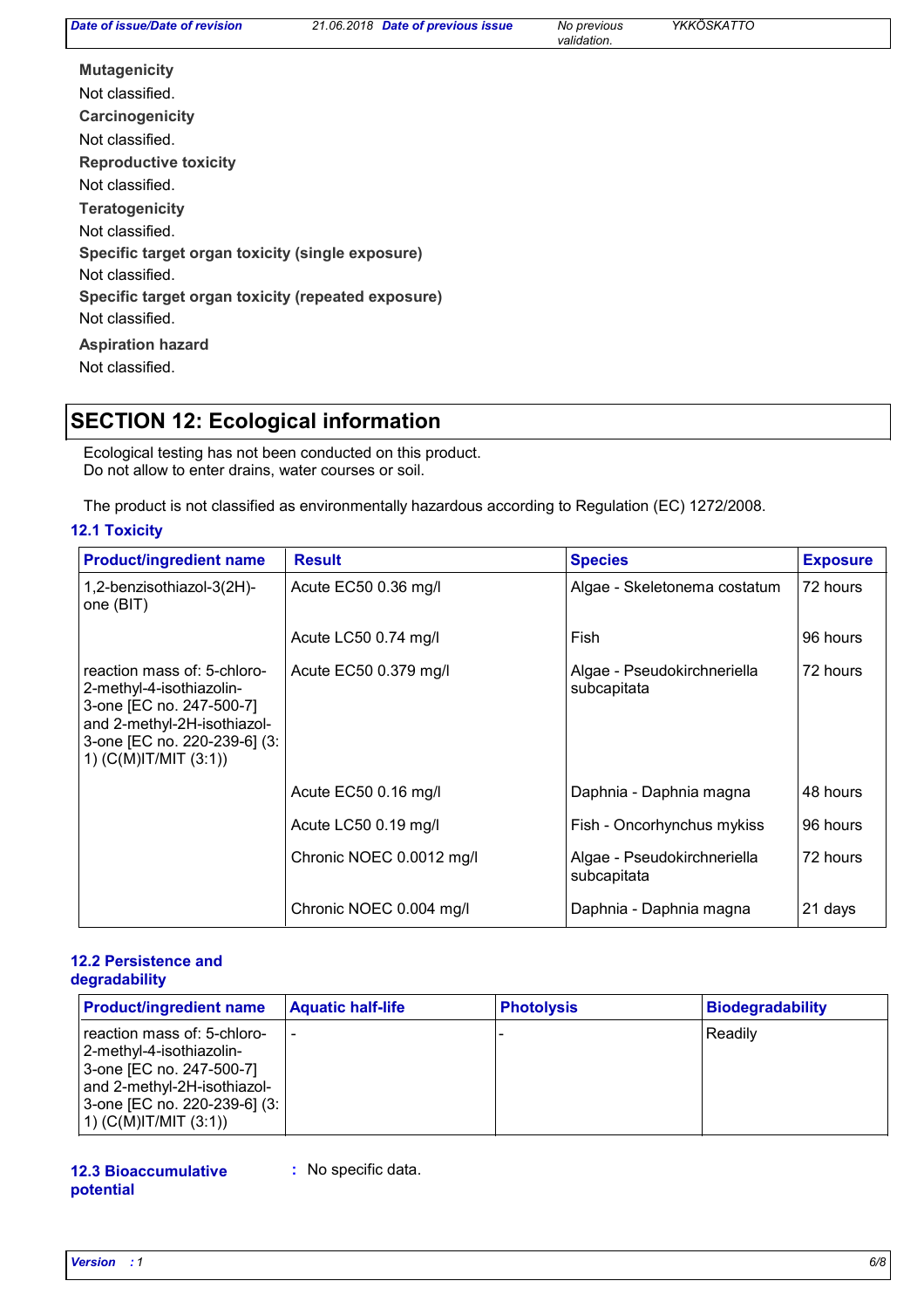*Date of previous issue No previous YKKÖSKATTO*

*validation.*

**Carcinogenicity Mutagenicity Teratogenicity Reproductive toxicity Specific target organ toxicity (single exposure) Specific target organ toxicity (repeated exposure) Aspiration hazard** Not classified. Not classified. Not classified. Not classified. Not classified. Not classified. Not classified.

## **SECTION 12: Ecological information**

Ecological testing has not been conducted on this product. Do not allow to enter drains, water courses or soil.

The product is not classified as environmentally hazardous according to Regulation (EC) 1272/2008.

#### **12.1 Toxicity**

| <b>Product/ingredient name</b>                                                                                                                                                  | <b>Result</b>            | <b>Species</b>                             | <b>Exposure</b> |
|---------------------------------------------------------------------------------------------------------------------------------------------------------------------------------|--------------------------|--------------------------------------------|-----------------|
| 1,2-benzisothiazol-3(2H)-<br>one (BIT)                                                                                                                                          | Acute EC50 0.36 mg/l     | Algae - Skeletonema costatum               | 72 hours        |
|                                                                                                                                                                                 | Acute LC50 0.74 mg/l     | Fish                                       | 96 hours        |
| reaction mass of: 5-chloro-<br>2-methyl-4-isothiazolin-<br>3-one [EC no. 247-500-7]<br>and 2-methyl-2H-isothiazol-<br>3-one [EC no. 220-239-6] (3:<br>1) $(C(M)$ IT/MIT $(3:1)$ | Acute EC50 0.379 mg/l    | Algae - Pseudokirchneriella<br>subcapitata | 72 hours        |
|                                                                                                                                                                                 | Acute EC50 0.16 mg/l     | Daphnia - Daphnia magna                    | 48 hours        |
|                                                                                                                                                                                 | Acute LC50 0.19 mg/l     | Fish - Oncorhynchus mykiss                 | 96 hours        |
|                                                                                                                                                                                 | Chronic NOEC 0.0012 mg/l | Algae - Pseudokirchneriella<br>subcapitata | 72 hours        |
|                                                                                                                                                                                 | Chronic NOEC 0.004 mg/l  | Daphnia - Daphnia magna                    | 21 days         |

#### **12.2 Persistence and degradability**

| <b>Product/ingredient name</b>                                                                                                                                                 | <b>Aquatic half-life</b> | <b>Photolysis</b> | <b>Biodegradability</b> |
|--------------------------------------------------------------------------------------------------------------------------------------------------------------------------------|--------------------------|-------------------|-------------------------|
| reaction mass of: 5-chloro-<br>2-methyl-4-isothiazolin-<br>3-one [EC no. 247-500-7]<br>and 2-methyl-2H-isothiazol-<br>3-one [EC no. 220-239-6] (3:<br>$(1)$ (C(M)IT/MIT (3:1)) |                          |                   | Readily                 |

#### **12.3 Bioaccumulative potential :** No specific data.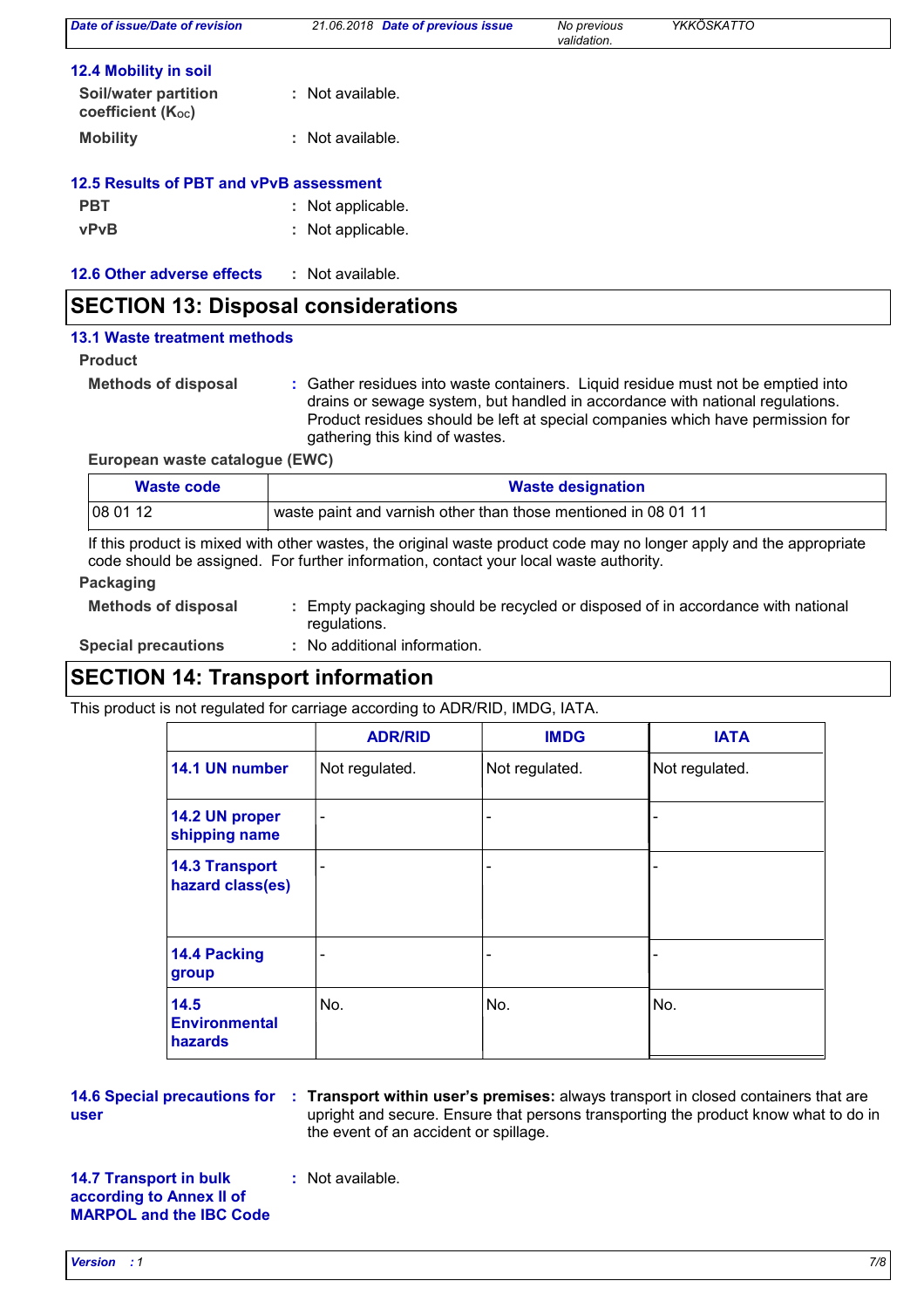| Date of issue/Date of revision                   | 21.06.2018 Date of previous issue | No previous<br>validation. | YKKÖSKATTO |  |
|--------------------------------------------------|-----------------------------------|----------------------------|------------|--|
| 12.4 Mobility in soil                            |                                   |                            |            |  |
| <b>Soil/water partition</b><br>coefficient (Koc) | : Not available.                  |                            |            |  |
| <b>Mobility</b>                                  | Not available.<br>÷.              |                            |            |  |
| 12.5 Results of PBT and vPvB assessment          |                                   |                            |            |  |
| <b>PBT</b>                                       | Not applicable.<br>÷.             |                            |            |  |
| <b>vPvB</b>                                      | Not applicable.<br>÷.             |                            |            |  |
| 12.6 Other adverse effects                       | Not available.<br>÷               |                            |            |  |

### **SECTION 13: Disposal considerations**

#### **13.1 Waste treatment methods**

#### **Product**

**Methods of disposal :**

Gather residues into waste containers. Liquid residue must not be emptied into drains or sewage system, but handled in accordance with national regulations. Product residues should be left at special companies which have permission for gathering this kind of wastes.

**European waste catalogue (EWC)**

| Waste code | <b>Waste designation</b>                                       |  |
|------------|----------------------------------------------------------------|--|
| 08 01 12   | waste paint and varnish other than those mentioned in 08 01 11 |  |

If this product is mixed with other wastes, the original waste product code may no longer apply and the appropriate code should be assigned. For further information, contact your local waste authority.

#### **Packaging**

| <b>Methods of disposal</b> | : Empty packaging should be recycled or disposed of in accordance with national |
|----------------------------|---------------------------------------------------------------------------------|
|                            | regulations.                                                                    |

**Special precautions :** : No additional information.

### **SECTION 14: Transport information**

This product is not regulated for carriage according to ADR/RID, IMDG, IATA.

|                                                | <b>ADR/RID</b>               | <b>IMDG</b>                  | <b>IATA</b>    |
|------------------------------------------------|------------------------------|------------------------------|----------------|
| 14.1 UN number                                 | Not regulated.               | Not regulated.               | Not regulated. |
| 14.2 UN proper<br>shipping name                | $\qquad \qquad \blacksquare$ | $\qquad \qquad \blacksquare$ |                |
| <b>14.3 Transport</b><br>hazard class(es)      | -                            | $\overline{\phantom{a}}$     |                |
| 14.4 Packing<br>group                          |                              | $\overline{\phantom{0}}$     |                |
| 14.5<br><b>Environmental</b><br><b>hazards</b> | No.                          | No.                          | No.            |

**user**

**14.6 Special precautions for : Transport within user's premises: always transport in closed containers that are** upright and secure. Ensure that persons transporting the product know what to do in the event of an accident or spillage.

**14.7 Transport in bulk according to Annex II of MARPOL and the IBC Code** **:** Not available.